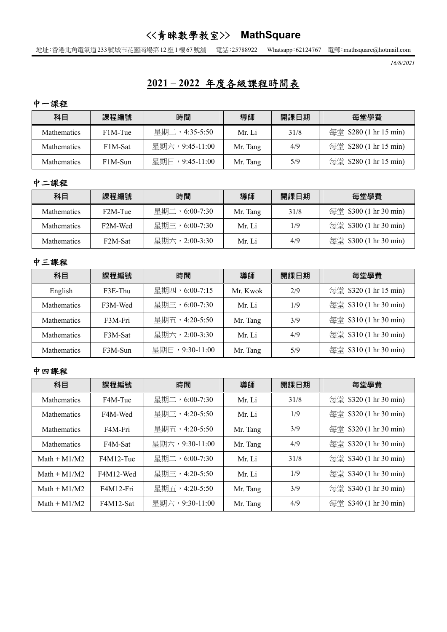## <<青睞數學教室>> **MathSquare**

地址:香港北角電氣道233號城市花園商場第12座1樓67號舖 電話:25788922 Whatsapp:62124767 電郵:mathsquare@hotmail.com

 *16/8/2021* 

# **2021 – 2022** 年度各級課程時間表

中一課程

| 科目                 | 課程編號    | 時間             | 導師       | 開課日期 | 每堂學費                   |  |
|--------------------|---------|----------------|----------|------|------------------------|--|
| <b>Mathematics</b> | F1M-Tue | 星期二,4:35-5:50  | Mr Li    | 31/8 | 每堂 \$280 (1 hr 15 min) |  |
| <b>Mathematics</b> | F1M-Sat | 星期六,9:45-11:00 | Mr. Tang | 4/9  | 每堂 \$280 (1 hr 15 min) |  |
| <b>Mathematics</b> | F1M-Sun | 星期日,9:45-11:00 | Mr. Tang | 5/9  | 每堂 \$280 (1 hr 15 min) |  |

#### 中二課程

| 科目                 | 課程編號                                  | 時間            | 導師       | 開課日期 | 每堂學費                   |
|--------------------|---------------------------------------|---------------|----------|------|------------------------|
| <b>Mathematics</b> | F <sub>2</sub> M-Tue                  | 星期二,6:00-7:30 | Mr. Tang | 31/8 | 每堂 \$300 (1 hr 30 min) |
| <b>Mathematics</b> | 星期三,6:00-7:30<br>F <sub>2</sub> M-Wed |               | Mr Li    | 1/9  | 每堂 \$300 (1 hr 30 min) |
| <b>Mathematics</b> | F2M-Sat                               | 星期六,2:00-3:30 | Mr Li    | 4/9  | 每堂 \$300 (1 hr 30 min) |

#### 中三課程

| 科目                 | 課程編號                      | 時間            | 導師       | 開課日期 | 每堂學費                   |  |
|--------------------|---------------------------|---------------|----------|------|------------------------|--|
| English            | $F3E$ -Thu                | 星期四,6:00-7:15 |          | 2/9  | 每堂 \$320 (1 hr 15 min) |  |
| <b>Mathematics</b> | F3M-Wed                   | 星期三,6:00-7:30 | Mr. Li   | 1/9  | 每堂 \$310 (1 hr 30 min) |  |
| <b>Mathematics</b> | F3M-Fri                   | 星期五,4:20-5:50 | Mr. Tang | 3/9  | 每堂 \$310 (1 hr 30 min) |  |
| <b>Mathematics</b> | F3M-Sat                   | 星期六,2:00-3:30 | Mr. Li   | 4/9  | 每堂 \$310 (1 hr 30 min) |  |
| <b>Mathematics</b> | 星期日,9:30-11:00<br>F3M-Sun |               | Mr. Tang | 5/9  | 每堂 \$310 (1 hr 30 min) |  |

#### 中四課程

| 科目                 | 課程編號      | 時間                        | 導師       | 開課日期 | 每堂學費                   |
|--------------------|-----------|---------------------------|----------|------|------------------------|
| <b>Mathematics</b> | F4M-Tue   | 星期二,6:00-7:30             | Mr. Li   |      | 每堂 \$320 (1 hr 30 min) |
| <b>Mathematics</b> | F4M-Wed   | 星期三,4:20-5:50             | Mr. Li   |      | 每堂 \$320 (1 hr 30 min) |
| <b>Mathematics</b> | F4M-Fri   | 星期五,4:20-5:50<br>Mr. Tang |          | 3/9  | 每堂 \$320 (1 hr 30 min) |
| <b>Mathematics</b> | F4M-Sat   | 星期六,9:30-11:00            | Mr. Tang | 4/9  | 每堂 \$320 (1 hr 30 min) |
| Math $+ M1/M2$     | F4M12-Tue | 星期二,6:00-7:30             | Mr. Li   | 31/8 | 每堂 \$340 (1 hr 30 min) |
| Math $+ M1/M2$     | F4M12-Wed | 星期三,4:20-5:50             | Mr. Li   | 1/9  | 每堂 \$340 (1 hr 30 min) |
| Math $+ M1/M2$     | F4M12-Fri | 星期五,4:20-5:50             | Mr. Tang | 3/9  | 每堂 \$340 (1 hr 30 min) |
| Math $+ M1/M2$     | F4M12-Sat | 星期六,9:30-11:00            | Mr. Tang | 4/9  | 每堂 \$340 (1 hr 30 min) |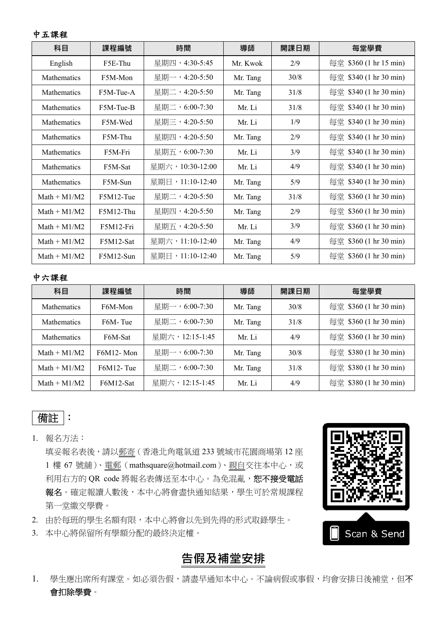#### 中五課程

| 科目                 | 課程編號                     | 時間              | 導師       | 開課日期 | 每堂學費                   |
|--------------------|--------------------------|-----------------|----------|------|------------------------|
| English            | F5E-Thu                  | 星期四,4:30-5:45   | Mr. Kwok | 2/9  | 每堂 \$360 (1 hr 15 min) |
| <b>Mathematics</b> | F5M-Mon                  | 星期一,4:20-5:50   | Mr. Tang | 30/8 | 每堂 \$340 (1 hr 30 min) |
| <b>Mathematics</b> | F5M-Tue-A                | 星期二,4:20-5:50   | Mr. Tang | 31/8 | 每堂 \$340 (1 hr 30 min) |
| <b>Mathematics</b> | F5M-Tue-B                | 星期二,6:00-7:30   |          | 31/8 | 每堂 \$340 (1 hr 30 min) |
| <b>Mathematics</b> | F5M-Wed                  | 星期三,4:20-5:50   | Mr. Li   | 1/9  | 每堂 \$340 (1 hr 30 min) |
| <b>Mathematics</b> | 星期四,4:20-5:50<br>F5M-Thu |                 | Mr. Tang | 2/9  | 每堂 \$340 (1 hr 30 min) |
| <b>Mathematics</b> | F5M-Fri                  | 星期五,6:00-7:30   | Mr. Li   | 3/9  | 每堂 \$340 (1 hr 30 min) |
| <b>Mathematics</b> | F5M-Sat                  | 星期六,10:30-12:00 | Mr. Li   | 4/9  | 每堂 \$340 (1 hr 30 min) |
| <b>Mathematics</b> | F5M-Sun                  | 星期日,11:10-12:40 | Mr. Tang | 5/9  | 每堂 \$340 (1 hr 30 min) |
| Math $+ M1/M2$     | F5M12-Tue                | 星期二,4:20-5:50   | Mr. Tang | 31/8 | 每堂 \$360 (1 hr 30 min) |
| Math $+ M1/M2$     | F5M12-Thu                | 星期四,4:20-5:50   | Mr. Tang | 2/9  | 每堂 \$360 (1 hr 30 min) |
| $Math + M1/M2$     | F5M12-Fri                | 星期五,4:20-5:50   | Mr. Li   | 3/9  | 每堂 \$360 (1 hr 30 min) |
| Math $+ M1/M2$     | F5M12-Sat                | 星期六,11:10-12:40 | Mr. Tang | 4/9  | 每堂 \$360 (1 hr 30 min) |
| $Math + M1/M2$     | F5M12-Sun                | 星期日,11:10-12:40 | Mr. Tang | 5/9  | 每堂 \$360 (1 hr 30 min) |

#### 中六課程

| 科目                 | 課程編號                 | 時間             | 導師       | 開課日期 | 每堂學費                   |
|--------------------|----------------------|----------------|----------|------|------------------------|
| <b>Mathematics</b> | F6M-Mon              | 星期一,6:00-7:30  | Mr. Tang | 30/8 | 每堂 \$360 (1 hr 30 min) |
| <b>Mathematics</b> | F <sub>6</sub> M-Tue | 星期二,6:00-7:30  | Mr. Tang | 31/8 | 每堂 \$360 (1 hr 30 min) |
| <b>Mathematics</b> | F6M-Sat              | 星期六,12:15-1:45 | Mr. Li   | 4/9  | 每堂 \$360 (1 hr 30 min) |
| $Math + M1/M2$     | $F6M12$ - Mon        | 星期一,6:00-7:30  | Mr. Tang | 30/8 | 每堂 \$380 (1 hr 30 min) |
| $Math + M1/M2$     | $F6M12$ -Tue         | 星期二,6:00-7:30  | Mr. Tang | 31/8 | 每堂 \$380 (1 hr 30 min) |
| $Math + M1/M2$     | F6M12-Sat            | 星期六,12:15-1:45 | Mr. Li   | 4/9  | 每堂 \$380 (1 hr 30 min) |

## 備註 :

1. 報名方法:

填妥報名表後,請以郵寄(香港北角電氣道 233 號城市花園商場第 12 座 1 樓 67 號舖)、電郵(mathsquare@hotmail.com)、親自交往本中心,或 利用右方的 QR code 將報名表傳送至本中心。為免混亂,恕不接受電話 報名。確定報讀人數後,本中心將會盡快通知結果,學生可於常規課程 第一堂繳交學費。

- 2. 由於每班的學生名額有限,本中心將會以先到先得的形式取錄學生。
- 3. 本中心將保留所有學額分配的最終決定權。

# **告假及補堂安排**

1. 學生應出席所有課堂。如必須告假,請盡早通知本中心。不論病假或事假,均會安排日後補堂,但不 會扣除學費。